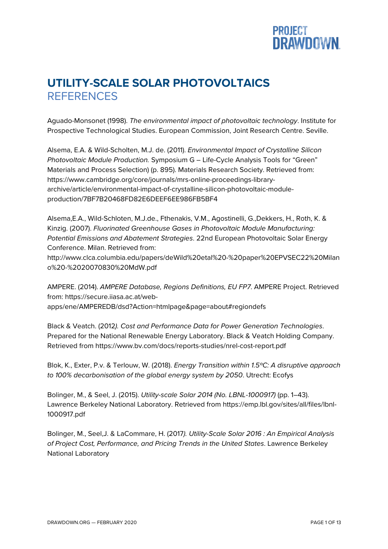

## **UTILITY-SCALE SOLAR PHOTOVOLTAICS REFERENCES**

Aguado-Monsonet (1998). *The environmental impact of photovoltaic technology*. Institute for Prospective Technological Studies. European Commission, Joint Research Centre. Seville.

Alsema, E.A. & Wild-Scholten, M.J. de. (2011). *Environmental Impact of Crystalline Silicon Photovoltaic Module Production.* Symposium G – Life-Cycle Analysis Tools for "Green" Materials and Process Selection) (p. 895). Materials Research Society. Retrieved from: https://www.cambridge.org/core/journals/mrs-online-proceedings-libraryarchive/article/environmental-impact-of-crystalline-silicon-photovoltaic-moduleproduction/7BF7B20468FD82E6DEEF6EE986FB5BF4

Alsema,E.A., Wild-Schloten, M.J.de., Fthenakis, V.M., Agostinelli, G.,Dekkers, H., Roth, K. & Kinzig. (2007). *Fluorinated Greenhouse Gases in Photovoltaic Module Manufacturing: Potential Emissions and Abatement Strategies*. 22nd European Photovoltaic Solar Energy Conference. Milan. Retrieved from: http://www.clca.columbia.edu/papers/deWild%20etal%20-%20paper%20EPVSEC22%20Milan o%20-%2020070830%20MdW.pdf

AMPERE. (2014). *AMPERE Database, Regions Definitions, EU FP7*. AMPERE Project. Retrieved from: https://secure.iiasa.ac.at/webapps/ene/AMPEREDB/dsd?Action=htmlpage&page=about#regiondefs

Black & Veatch. (2012*). Cost and Performance Data for Power Generation Technologies*. Prepared for the National Renewable Energy Laboratory. Black & Veatch Holding Company. Retrieved from https://www.bv.com/docs/reports-studies/nrel-cost-report.pdf

Blok, K., Exter, P.v. & Terlouw, W. (2018). *Energy Transition within 1.5ºC: A disruptive approach to 100% decarbonisation of the global energy system by 2050*. Utrecht: Ecofys

Bolinger, M., & Seel, J. (2015). *Utility-scale Solar 2014 (No. LBNL-1000917)* (pp. 1–43). Lawrence Berkeley National Laboratory. Retrieved from https://emp.lbl.gov/sites/all/files/lbnl-1000917.pdf

Bolinger, M., Seel,J. & LaCommare, H. (2017*). Utility-Scale Solar 2016 : An Empirical Analysis of Project Cost, Performance, and Pricing Trends in the United States*. Lawrence Berkeley National Laboratory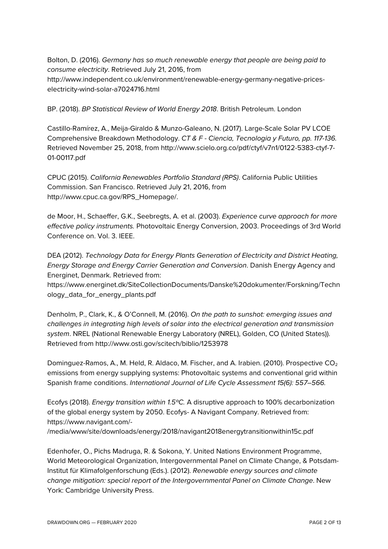Bolton, D. (2016). *Germany has so much renewable energy that people are being paid to consume electricity*. Retrieved July 21, 2016, from http://www.independent.co.uk/environment/renewable-energy-germany-negative-priceselectricity-wind-solar-a7024716.html

BP. (2018). *BP Statistical Review of World Energy 2018*. British Petroleum. London

Castillo-Ramírez, A., Meija-Giraldo & Munzo-Galeano, N. (2017). Large-Scale Solar PV LCOE Comprehensive Breakdown Methodology. *CT & F - Ciencia, Tecnologia y Futuro, pp. 117-136.* Retrieved November 25, 2018, from http://www.scielo.org.co/pdf/ctyf/v7n1/0122-5383-ctyf-7- 01-00117.pdf

CPUC (2015). *California Renewables Portfolio Standard (RPS)*. California Public Utilities Commission. San Francisco. Retrieved July 21, 2016, from http://www.cpuc.ca.gov/RPS\_Homepage/.

de Moor, H., Schaeffer, G.K., Seebregts, A. et al. (2003). *Experience curve approach for more effective policy instruments.* Photovoltaic Energy Conversion, 2003. Proceedings of 3rd World Conference on. Vol. 3. IEEE.

DEA (2012). *Technology Data for Energy Plants Generation of Electricity and District Heating, Energy Storage and Energy Carrier Generation and Conversion*. Danish Energy Agency and Energinet, Denmark. Retrieved from:

https://www.energinet.dk/SiteCollectionDocuments/Danske%20dokumenter/Forskning/Techn ology\_data\_for\_energy\_plants.pdf

Denholm, P., Clark, K., & O'Connell, M. (2016). *On the path to sunshot: emerging issues and challenges in integrating high levels of solar into the electrical generation and transmission system*. NREL (National Renewable Energy Laboratory (NREL), Golden, CO (United States)). Retrieved from http://www.osti.gov/scitech/biblio/1253978

Dominguez-Ramos, A., M. Held, R. Aldaco, M. Fischer, and A. Irabien. (2010). Prospective CO<sub>2</sub> emissions from energy supplying systems: Photovoltaic systems and conventional grid within Spanish frame conditions. *International Journal of Life Cycle Assessment 15(6): 557–566.*

Ecofys (2018). *Energy transition within 1.5ºC.* A disruptive approach to 100% decarbonization of the global energy system by 2050. Ecofys- A Navigant Company. Retrieved from: https://www.navigant.com/-

/media/www/site/downloads/energy/2018/navigant2018energytransitionwithin15c.pdf

Edenhofer, O., Pichs Madruga, R. & Sokona, Y. United Nations Environment Programme, World Meteorological Organization, Intergovernmental Panel on Climate Change, & Potsdam-Institut für Klimafolgenforschung (Eds.). (2012). *Renewable energy sources and climate change mitigation: special report of the Intergovernmental Panel on Climate Change*. New York: Cambridge University Press.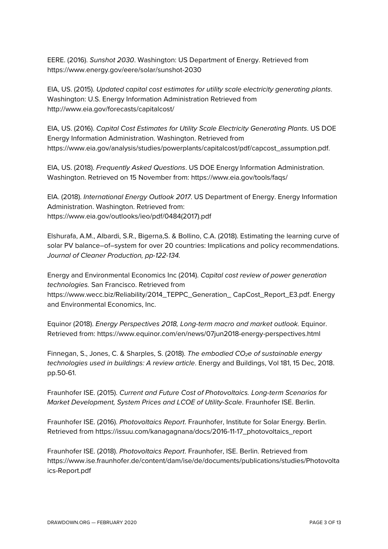EERE. (2016). *Sunshot 2030*. Washington: US Department of Energy. Retrieved from https://www.energy.gov/eere/solar/sunshot-2030

EIA, US. (2015). *Updated capital cost estimates for utility scale electricity generating plants*. Washington: U.S. Energy Information Administration Retrieved from http://www.eia.gov/forecasts/capitalcost/

EIA, US. (2016). *Capital Cost Estimates for Utility Scale Electricity Generating Plants*. US DOE Energy Information Administration. Washington. Retrieved from https://www.eia.gov/analysis/studies/powerplants/capitalcost/pdf/capcost\_assumption.pdf.

EIA, US. (2018). *Frequently Asked Questions*. US DOE Energy Information Administration. Washington. Retrieved on 15 November from: https://www.eia.gov/tools/faqs/

EIA. (2018). *International Energy Outlook 2017*. US Department of Energy. Energy Information Administration. Washington. Retrieved from: https://www.eia.gov/outlooks/ieo/pdf/0484(2017).pdf

Elshurafa, A.M., Albardi, S.R., Bigerna,S. & Bollino, C.A. (2018). Estimating the learning curve of solar PV balance–of–system for over 20 countries: Implications and policy recommendations. *Journal of Cleaner Production, pp-122-134.*

Energy and Environmental Economics Inc (2014). *Capital cost review of power generation technologies.* San Francisco. Retrieved from

https://www.wecc.biz/Reliability/2014\_TEPPC\_Generation\_ CapCost\_Report\_E3.pdf. Energy and Environmental Economics, Inc.

Equinor (2018). *Energy Perspectives 2018, Long-term macro and market outlook.* Equinor. Retrieved from: https://www.equinor.com/en/news/07jun2018-energy-perspectives.html

Finnegan, S., Jones, C. & Sharples, S. (2018). *The embodied CO2e of sustainable energy technologies used in buildings: A review article*. Energy and Buildings, Vol 181, 15 Dec, 2018. pp.50-61.

Fraunhofer ISE. (2015). *Current and Future Cost of Photovoltaics. Long-term Scenarios for Market Development, System Prices and LCOE of Utility-Scale*. Fraunhofer ISE. Berlin.

Fraunhofer ISE. (2016). *Photovoltaics Report*. Fraunhofer, Institute for Solar Energy. Berlin. Retrieved from https://issuu.com/kanagagnana/docs/2016-11-17\_photovoltaics\_report

Fraunhofer ISE. (2018). *Photovoltaics Report*. Fraunhofer, ISE. Berlin. Retrieved from https://www.ise.fraunhofer.de/content/dam/ise/de/documents/publications/studies/Photovolta ics-Report.pdf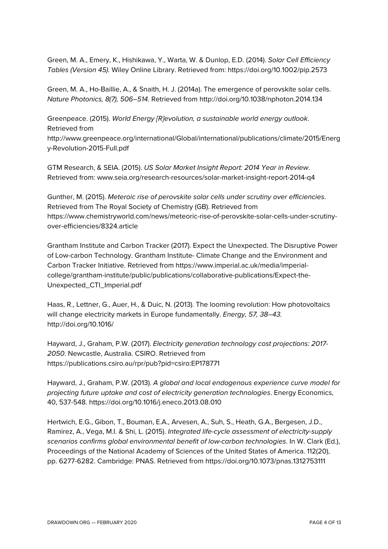Green, M. A., Emery, K., Hishikawa, Y., Warta, W. & Dunlop, E.D. (2014). *Solar Cell Efficiency Tables (Version 45).* Wiley Online Library. Retrieved from: https://doi.org/10.1002/pip.2573

Green, M. A., Ho-Baillie, A., & Snaith, H. J. (2014a). The emergence of perovskite solar cells. *Nature Photonics, 8(7), 506–514.* Retrieved from http://doi.org/10.1038/nphoton.2014.134

Greenpeace. (2015). *World Energy [R]evolution, a sustainable world energy outlook*. Retrieved from

http://www.greenpeace.org/international/Global/international/publications/climate/2015/Energ y-Revolution-2015-Full.pdf

GTM Research, & SEIA. (2015). *US Solar Market Insight Report: 2014 Year in Review*. Retrieved from: www.seia.org/research-resources/solar-market-insight-report-2014-q4

Gunther, M. (2015). *Meteroic rise of perovskite solar cells under scrutiny over efficiencies*. Retrieved from The Royal Society of Chemistry (GB). Retrieved from https://www.chemistryworld.com/news/meteoric-rise-of-perovskite-solar-cells-under-scrutinyover-efficiencies/8324.article

Grantham Institute and Carbon Tracker (2017). Expect the Unexpected. The Disruptive Power of Low-carbon Technology. Grantham Institute- Climate Change and the Environment and Carbon Tracker Initiative. Retrieved from https://www.imperial.ac.uk/media/imperialcollege/grantham-institute/public/publications/collaborative-publications/Expect-the-Unexpected\_CTI\_Imperial.pdf

Haas, R., Lettner, G., Auer, H., & Duic, N. (2013). The looming revolution: How photovoltaics will change electricity markets in Europe fundamentally. *Energy, 57, 38–43.* http://doi.org/10.1016/

Hayward, J., Graham, P.W. (2017). *Electricity generation technology cost projections: 2017- 2050*. Newcastle, Australia. CSIRO. Retrieved from https://publications.csiro.au/rpr/pub?pid=csiro:EP178771

Hayward, J., Graham, P.W. (2013). *A global and local endogenous experience curve model for projecting future uptake and cost of electricity generation technologies*. Energy Economics, 40, 537-548. https://doi.org/10.1016/j.eneco.2013.08.010

Hertwich, E.G., Gibon, T., Bouman, E.A., Arvesen, A., Suh, S., Heath, G.A., Bergesen, J.D., Ramirez, A., Vega, M.I. & Shi, L. (2015). *Integrated life-cycle assessment of electricity-supply scenarios confirms global environmental benefit of low-carbon technologies*. In W. Clark (Ed.), Proceedings of the National Academy of Sciences of the United States of America. 112(20), pp. 6277-6282. Cambridge: PNAS. Retrieved from https://doi.org/10.1073/pnas.1312753111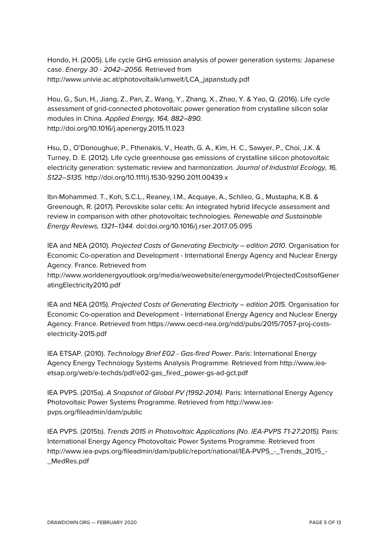Hondo, H. (2005). Life cycle GHG emission analysis of power generation systems: Japanese case. *Energy 30 - 2042–2056.* Retrieved from http://www.univie.ac.at/photovoltaik/umwelt/LCA\_japanstudy.pdf

Hou, G., Sun, H., Jiang, Z., Pan, Z., Wang, Y., Zhang, X., Zhao, Y. & Yao, Q. (2016). Life cycle assessment of grid-connected photovoltaic power generation from crystalline silicon solar modules in China. *Applied Energy, 164, 882–890.* http://doi.org/10.1016/j.apenergy.2015.11.023

Hsu, D., O'Donoughue, P., Fthenakis, V., Heath, G. A., Kim, H. C., Sawyer, P., Choi, J.K. & Turney, D. E. (2012). Life cycle greenhouse gas emissions of crystalline silicon photovoltaic electricity generation: systematic review and harmonization. *Journal of Industrial Ecology, 16, S122–S135.* http://doi.org/10.1111/j.1530-9290.2011.00439.x

Ibn-Mohammed. T., Koh, S.C.L., Reaney, I.M., Acquaye, A., Schileo, G., Mustapha, K.B. & Greenough, R. (2017). Perovskite solar cells: An integrated hybrid lifecycle assessment and review in comparison with other photovoltaic technologies. *Renewable and Sustainable Energy Reviews, 1321–1344.* doi:doi.org/10.1016/j.rser.2017.05.095

IEA and NEA (2010). *Projected Costs of Generating Electricity – edition 2010*. Organisation for Economic Co-operation and Development - International Energy Agency and Nuclear Energy Agency. France. Retrieved from

http://www.worldenergyoutlook.org/media/weowebsite/energymodel/ProjectedCostsofGener atingElectricity2010.pdf

IEA and NEA (2015). *Projected Costs of Generating Electricity – edition 2015.* Organisation for Economic Co-operation and Development - International Energy Agency and Nuclear Energy Agency. France. Retrieved from https://www.oecd-nea.org/ndd/pubs/2015/7057-proj-costselectricity-2015.pdf

IEA ETSAP. (2010). *Technology Brief E02 - Gas-fired Power*. Paris: International Energy Agency Energy Technology Systems Analysis Programme. Retrieved from http://www.ieaetsap.org/web/e-techds/pdf/e02-gas\_fired\_power-gs-ad-gct.pdf

IEA PVPS. (2015a). *A Snapshot of Global PV (1992-2014).* Paris: International Energy Agency Photovoltaic Power Systems Programme. Retrieved from http://www.ieapvps.org/fileadmin/dam/public

IEA PVPS. (2015b). *Trends 2015 in Photovoltaic Applications (No. IEA-PVPS T1-27:2015).* Paris: International Energy Agency Photovoltaic Power Systems Programme. Retrieved from http://www.iea-pvps.org/fileadmin/dam/public/report/national/IEA-PVPS\_-\_Trends\_2015\_- \_MedRes.pdf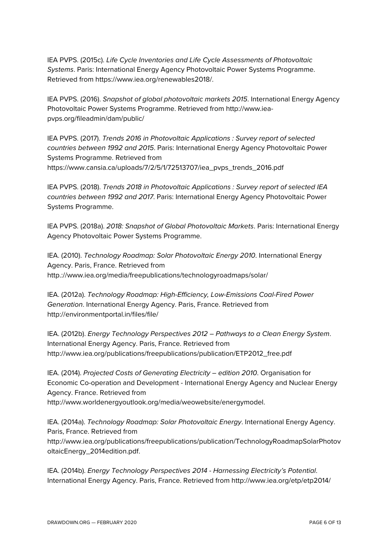IEA PVPS. (2015c). *Life Cycle Inventories and Life Cycle Assessments of Photovoltaic Systems*. Paris: International Energy Agency Photovoltaic Power Systems Programme. Retrieved from https://www.iea.org/renewables2018/.

IEA PVPS. (2016). *Snapshot of global photovoltaic markets 2015*. International Energy Agency Photovoltaic Power Systems Programme. Retrieved from http://www.ieapvps.org/fileadmin/dam/public/

IEA PVPS. (2017). *Trends 2016 in Photovoltaic Applications : Survey report of selected countries between 1992 and 2015*. Paris: International Energy Agency Photovoltaic Power Systems Programme. Retrieved from https://www.cansia.ca/uploads/7/2/5/1/72513707/iea\_pvps\_trends\_2016.pdf

IEA PVPS. (2018). *Trends 2018 in Photovoltaic Applications : Survey report of selected IEA countries between 1992 and 2017*. Paris: International Energy Agency Photovoltaic Power Systems Programme.

IEA PVPS. (2018a). *2018: Snapshot of Global Photovoltaic Markets*. Paris: International Energy Agency Photovoltaic Power Systems Programme.

IEA. (2010). *Technology Roadmap: Solar Photovoltaic Energy 2010*. International Energy Agency. Paris, France. Retrieved from http.://www.iea.org/media/freepublications/technologyroadmaps/solar/

IEA. (2012a). *Technology Roadmap: High-Efficiency, Low-Emissions Coal-Fired Power Generation*. International Energy Agency. Paris, France. Retrieved from http://environmentportal.in/files/file/

IEA. (2012b). *Energy Technology Perspectives 2012 – Pathways to a Clean Energy System*. International Energy Agency. Paris, France. Retrieved from http://www.iea.org/publications/freepublications/publication/ETP2012\_free.pdf

IEA. (2014). *Projected Costs of Generating Electricity – edition 2010*. Organisation for Economic Co-operation and Development - International Energy Agency and Nuclear Energy Agency. France. Retrieved from http://www.worldenergyoutlook.org/media/weowebsite/energymodel.

IEA. (2014a). *Technology Roadmap: Solar Photovoltaic Energy*. International Energy Agency. Paris, France. Retrieved from http://www.iea.org/publications/freepublications/publication/TechnologyRoadmapSolarPhotov oltaicEnergy\_2014edition.pdf.

IEA. (2014b). *Energy Technology Perspectives 2014 - Harnessing Electricity's Potential*. International Energy Agency. Paris, France. Retrieved from http://www.iea.org/etp/etp2014/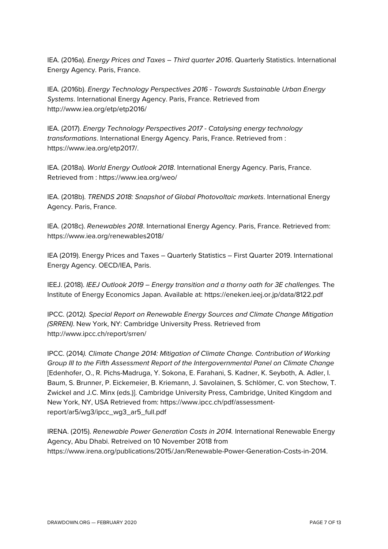IEA. (2016a). *Energy Prices and Taxes – Third quarter 2016*. Quarterly Statistics. International Energy Agency. Paris, France.

IEA. (2016b). *Energy Technology Perspectives 2016 - Towards Sustainable Urban Energy Systems*. International Energy Agency. Paris, France. Retrieved from http://www.iea.org/etp/etp2016/

IEA. (2017). *Energy Technology Perspectives 2017 - Catalysing energy technology transformations*. International Energy Agency. Paris, France. Retrieved from : https://www.iea.org/etp2017/.

IEA. (2018a). *World Energy Outlook 2018*. International Energy Agency. Paris, France. Retrieved from : https://www.iea.org/weo/

IEA. (2018b). *TRENDS 2018: Snapshot of Global Photovoltaic markets*. International Energy Agency. Paris, France.

IEA. (2018c). *Renewables 2018*. International Energy Agency. Paris, France. Retrieved from: https://www.iea.org/renewables2018/

IEA (2019). Energy Prices and Taxes – Quarterly Statistics – First Quarter 2019. International Energy Agency. OECD/IEA, Paris.

IEEJ. (2018). *IEEJ Outlook 2019 – Energy transition and a thorny oath for 3E challenges.* The Institute of Energy Economics Japan. Available at: https://eneken.ieej.or.jp/data/8122.pdf

IPCC. (2012*). Special Report on Renewable Energy Sources and Climate Change Mitigation (SRREN)*. New York, NY: Cambridge University Press. Retrieved from http://www.ipcc.ch/report/srren/

IPCC. (2014*). Climate Change 2014: Mitigation of Climate Change. Contribution of Working Group III to the Fifth Assessment Report of the Intergovernmental Panel on Climate Change* [Edenhofer, O., R. Pichs-Madruga, Y. Sokona, E. Farahani, S. Kadner, K. Seyboth, A. Adler, I. Baum, S. Brunner, P. Eickemeier, B. Kriemann, J. Savolainen, S. Schlömer, C. von Stechow, T. Zwickel and J.C. Minx (eds.)]. Cambridge University Press, Cambridge, United Kingdom and New York, NY, USA Retrieved from: https://www.ipcc.ch/pdf/assessmentreport/ar5/wg3/ipcc\_wg3\_ar5\_full.pdf

IRENA. (2015). *Renewable Power Generation Costs in 2014.* International Renewable Energy Agency, Abu Dhabi. Retreived on 10 November 2018 from https://www.irena.org/publications/2015/Jan/Renewable-Power-Generation-Costs-in-2014.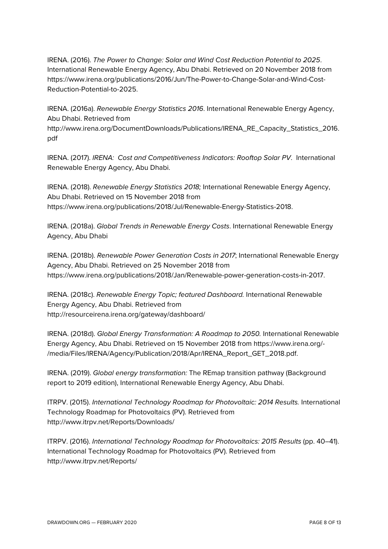IRENA. (2016). *The Power to Change: Solar and Wind Cost Reduction Potential to 2025*. International Renewable Energy Agency, Abu Dhabi. Retrieved on 20 November 2018 from https://www.irena.org/publications/2016/Jun/The-Power-to-Change-Solar-and-Wind-Cost-Reduction-Potential-to-2025.

IRENA. (2016a). *Renewable Energy Statistics 2016*. International Renewable Energy Agency, Abu Dhabi. Retrieved from

http://www.irena.org/DocumentDownloads/Publications/IRENA\_RE\_Capacity\_Statistics\_2016. pdf

IRENA. (2017). *IRENA: Cost and Competitiveness Indicators: Rooftop Solar PV*. International Renewable Energy Agency, Abu Dhabi.

IRENA. (2018). *Renewable Energy Statistics 2018;* International Renewable Energy Agency, Abu Dhabi. Retrieved on 15 November 2018 from https://www.irena.org/publications/2018/Jul/Renewable-Energy-Statistics-2018.

IRENA. (2018a). *Global Trends in Renewable Energy Costs*. International Renewable Energy Agency, Abu Dhabi

IRENA. (2018b). *Renewable Power Generation Costs in 2017*; International Renewable Energy Agency, Abu Dhabi. Retrieved on 25 November 2018 from https://www.irena.org/publications/2018/Jan/Renewable-power-generation-costs-in-2017.

IRENA. (2018c). *Renewable Energy Topic; featured Dashboard.* International Renewable Energy Agency, Abu Dhabi. Retrieved from http://resourceirena.irena.org/gateway/dashboard/

IRENA. (2018d). *Global Energy Transformation: A Roadmap to 2050.* International Renewable Energy Agency, Abu Dhabi. Retrieved on 15 November 2018 from https://www.irena.org/- /media/Files/IRENA/Agency/Publication/2018/Apr/IRENA\_Report\_GET\_2018.pdf.

IRENA. (2019). *Global energy transformation:* The REmap transition pathway (Background report to 2019 edition), International Renewable Energy Agency, Abu Dhabi.

ITRPV. (2015). *International Technology Roadmap for Photovoltaic: 2014 Results.* International Technology Roadmap for Photovoltaics (PV). Retrieved from http://www.itrpv.net/Reports/Downloads/

ITRPV. (2016). *International Technology Roadmap for Photovoltaics: 2015 Results* (pp. 40–41). International Technology Roadmap for Photovoltaics (PV). Retrieved from http://www.itrpv.net/Reports/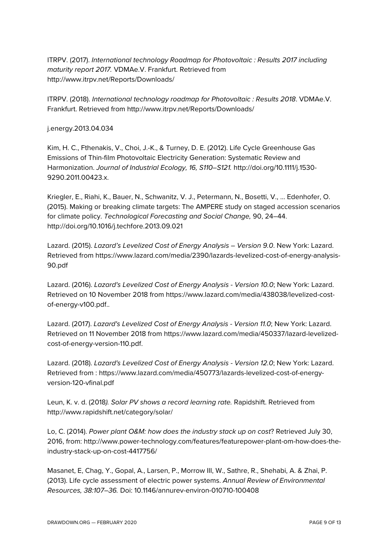ITRPV. (2017). *International technology Roadmap for Photovoltaic : Results 2017 including maturity report 2017.* VDMAe.V. Frankfurt. Retrieved from http://www.itrpv.net/Reports/Downloads/

ITRPV. (2018). *International technology roadmap for Photovoltaic : Results 2018*. VDMAe.V. Frankfurt. Retrieved from http://www.itrpv.net/Reports/Downloads/

## j.energy.2013.04.034

Kim, H. C., Fthenakis, V., Choi, J.-K., & Turney, D. E. (2012). Life Cycle Greenhouse Gas Emissions of Thin-film Photovoltaic Electricity Generation: Systematic Review and Harmonization. *Journal of Industrial Ecology, 16, S110–S121.* http://doi.org/10.1111/j.1530- 9290.2011.00423.x.

Kriegler, E., Riahi, K., Bauer, N., Schwanitz, V. J., Petermann, N., Bosetti, V., … Edenhofer, O. (2015). Making or breaking climate targets: The AMPERE study on staged accession scenarios for climate policy. *Technological Forecasting and Social Change,* 90, 24–44. http://doi.org/10.1016/j.techfore.2013.09.021

Lazard. (2015). *Lazard's Levelized Cost of Energy Analysis – Version 9.0*. New York: Lazard. Retrieved from https://www.lazard.com/media/2390/lazards-levelized-cost-of-energy-analysis-90.pdf

Lazard. (2016). *Lazard's Levelized Cost of Energy Analysis - Version 10.0*; New York: Lazard. Retrieved on 10 November 2018 from https://www.lazard.com/media/438038/levelized-costof-energy-v100.pdf..

Lazard. (2017). *Lazard's Levelized Cost of Energy Analysis - Version 11.0*; New York: Lazard. Retrieved on 11 November 2018 from https://www.lazard.com/media/450337/lazard-levelizedcost-of-energy-version-110.pdf.

Lazard. (2018). *Lazard's Levelized Cost of Energy Analysis - Version 12.0*; New York: Lazard. Retrieved from : https://www.lazard.com/media/450773/lazards-levelized-cost-of-energyversion-120-vfinal.pdf

Leun, K. v. d. (2018*). Solar PV shows a record learning rate.* Rapidshift. Retrieved from http://www.rapidshift.net/category/solar/

Lo, C. (2014). *Power plant O&M: how does the industry stack up on cost*? Retrieved July 30, 2016, from: http://www.power-technology.com/features/featurepower-plant-om-how-does-theindustry-stack-up-on-cost-4417756/

Masanet, E, Chag, Y., Gopal, A., Larsen, P., Morrow III, W., Sathre, R., Shehabi, A. & Zhai, P. (2013). Life cycle assessment of electric power systems. *Annual Review of Environmental Resources, 38:107–36.* Doi: 10.1146/annurev-environ-010710-100408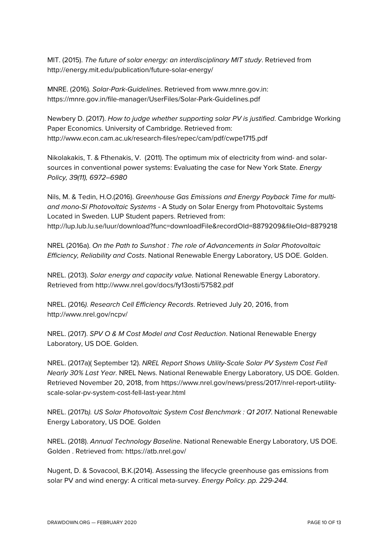MIT. (2015). *The future of solar energy: an interdisciplinary MIT study*. Retrieved from http://energy.mit.edu/publication/future-solar-energy/

MNRE. (2016). *Solar-Park-Guidelines*. Retrieved from www.mnre.gov.in: https://mnre.gov.in/file-manager/UserFiles/Solar-Park-Guidelines.pdf

Newbery D. (2017). *How to judge whether supporting solar PV is justified*. Cambridge Working Paper Economics. University of Cambridge. Retrieved from: http://www.econ.cam.ac.uk/research-files/repec/cam/pdf/cwpe1715.pdf

Nikolakakis, T. & Fthenakis, V. (2011). The optimum mix of electricity from wind- and solarsources in conventional power systems: Evaluating the case for New York State. *Energy Policy, 39(11), 6972–6980*

Nils, M. & Tedin, H.O.(2016). *Greenhouse Gas Emissions and Energy Payback Time for multiand mono-Si Photovoltaic Systems -* A Study on Solar Energy from Photovoltaic Systems Located in Sweden. LUP Student papers. Retrieved from: http://lup.lub.lu.se/luur/download?func=downloadFile&recordOId=8879209&fileOId=8879218

NREL (2016a). *On the Path to Sunshot : The role of Advancements in Solar Photovoltaic Efficiency, Reliability and Costs*. National Renewable Energy Laboratory, US DOE. Golden.

NREL. (2013). *Solar energy and capacity value.* National Renewable Energy Laboratory. Retrieved from http://www.nrel.gov/docs/fy13osti/57582.pdf

NREL. (2016*). Research Cell Efficiency Records*. Retrieved July 20, 2016, from http://www.nrel.gov/ncpv/

NREL. (2017). *SPV O & M Cost Model and Cost Reduction*. National Renewable Energy Laboratory, US DOE. Golden.

NREL. (2017a)( September 12). *NREL Report Shows Utility-Scale Solar PV System Cost Fell Nearly 30% Last Year*. NREL News. National Renewable Energy Laboratory, US DOE. Golden. Retrieved November 20, 2018, from https://www.nrel.gov/news/press/2017/nrel-report-utilityscale-solar-pv-system-cost-fell-last-year.html

NREL. (2017b*). US Solar Photovoltaic System Cost Benchmark : Q1 2017*. National Renewable Energy Laboratory, US DOE. Golden

NREL. (2018). *Annual Technology Baseline*. National Renewable Energy Laboratory, US DOE. Golden . Retrieved from: https://atb.nrel.gov/

Nugent, D. & Sovacool, B.K.(2014). Assessing the lifecycle greenhouse gas emissions from solar PV and wind energy: A critical meta-survey. *Energy Policy. pp. 229-244.*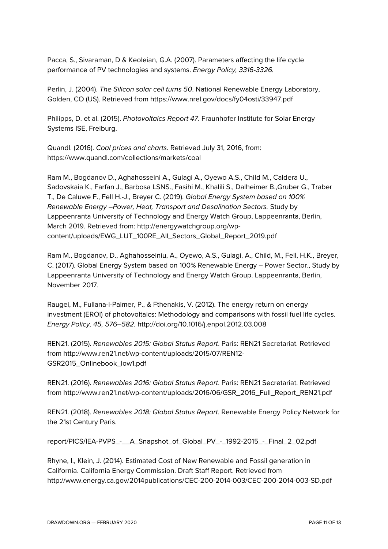Pacca, S., Sivaraman, D & Keoleian, G.A. (2007). Parameters affecting the life cycle performance of PV technologies and systems. *Energy Policy, 3316-3326.*

Perlin, J. (2004). *The Silicon solar cell turns 50*. National Renewable Energy Laboratory, Golden, CO (US). Retrieved from https://www.nrel.gov/docs/fy04osti/33947.pdf

Philipps, D. et al. (2015). *Photovoltaics Report 47*. Fraunhofer Institute for Solar Energy Systems ISE, Freiburg.

Quandl. (2016). *Coal prices and charts*. Retrieved July 31, 2016, from: https://www.quandl.com/collections/markets/coal

Ram M., Bogdanov D., Aghahosseini A., Gulagi A., Oyewo A.S., Child M., Caldera U., Sadovskaia K., Farfan J., Barbosa LSNS., Fasihi M., Khalili S., Dalheimer B.,Gruber G., Traber T., De Caluwe F., Fell H.-J., Breyer C. (2019). *Global Energy System based on 100% Renewable Energy –Power, Heat, Transport and Desalination Sectors.* Study by Lappeenranta University of Technology and Energy Watch Group, Lappeenranta, Berlin, March 2019. Retrieved from: http://energywatchgroup.org/wpcontent/uploads/EWG\_LUT\_100RE\_All\_Sectors\_Global\_Report\_2019.pdf

Ram M., Bogdanov, D., Aghahosseiniu, A., Oyewo, A.S., Gulagi, A., Child, M., Fell, H.K., Breyer, C. (2017). Global Energy System based on 100% Renewable Energy – Power Sector., Study by Lappeenranta University of Technology and Energy Watch Group. Lappeenranta, Berlin, November 2017.

Raugei, M., Fullana-i-Palmer, P., & Fthenakis, V. (2012). The energy return on energy investment (EROI) of photovoltaics: Methodology and comparisons with fossil fuel life cycles. *Energy Policy, 45, 576–582.* http://doi.org/10.1016/j.enpol.2012.03.008

REN21. (2015). *Renewables 2015: Global Status Report*. Paris: REN21 Secretariat. Retrieved from http://www.ren21.net/wp-content/uploads/2015/07/REN12- GSR2015\_Onlinebook\_low1.pdf

REN21. (2016). *Renewables 2016: Global Status Report*. Paris: REN21 Secretariat. Retrieved from http://www.ren21.net/wp-content/uploads/2016/06/GSR\_2016\_Full\_Report\_REN21.pdf

REN21. (2018). *Renewables 2018: Global Status Report*. Renewable Energy Policy Network for the 21st Century Paris.

report/PICS/IEA-PVPS\_-\_\_A\_Snapshot\_of\_Global\_PV\_-\_1992-2015\_-\_Final\_2\_02.pdf

Rhyne, I., Klein, J. (2014). Estimated Cost of New Renewable and Fossil generation in California. California Energy Commission. Draft Staff Report. Retrieved from http://www.energy.ca.gov/2014publications/CEC-200-2014-003/CEC-200-2014-003-SD.pdf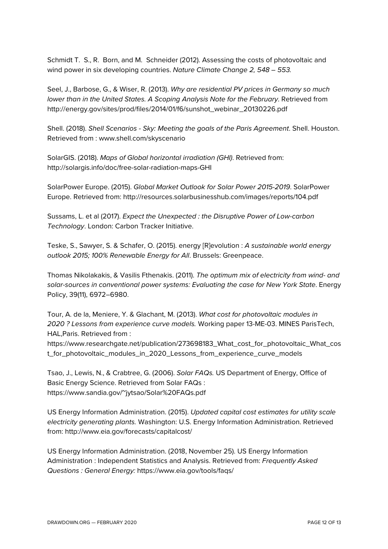Schmidt T. S., R. Born, and M. Schneider (2012). Assessing the costs of photovoltaic and wind power in six developing countries. *Nature Climate Change 2, 548 – 553.*

Seel, J., Barbose, G., & Wiser, R. (2013). *Why are residential PV prices in Germany so much lower than in the United States. A Scoping Analysis Note for the February*. Retrieved from http://energy.gov/sites/prod/files/2014/01/f6/sunshot\_webinar\_20130226.pdf

Shell. (2018). *Shell Scenarios - Sky: Meeting the goals of the Paris Agreement*. Shell. Houston. Retrieved from : www.shell.com/skyscenario

SolarGIS. (2018). *Maps of Global horizontal irradiation (GHI)*. Retrieved from: http://solargis.info/doc/free-solar-radiation-maps-GHI

SolarPower Europe. (2015). *Global Market Outlook for Solar Power 2015-2019*. SolarPower Europe. Retrieved from: http://resources.solarbusinesshub.com/images/reports/104.pdf

Sussams, L. et al (2017). *Expect the Unexpected : the Disruptive Power of Low-carbon Technology*. London: Carbon Tracker Initiative.

Teske, S., Sawyer, S. & Schafer, O. (2015). energy [R]evolution : *A sustainable world energy outlook 2015; 100% Renewable Energy for All*. Brussels: Greenpeace.

Thomas Nikolakakis, & Vasilis Fthenakis. (2011). *The optimum mix of electricity from wind- and solar-sources in conventional power systems: Evaluating the case for New York State*. Energy Policy, 39(11), 6972–6980.

Tour, A. de la, Meniere, Y. & Glachant, M. (2013). *What cost for photovoltaic modules in 2020 ? Lessons from experience curve models.* Working paper 13-ME-03. MINES ParisTech, HAL,Paris. Retrieved from :

https://www.researchgate.net/publication/273698183\_What\_cost\_for\_photovoltaic\_What\_cos t\_for\_photovoltaic\_modules\_in\_2020\_Lessons\_from\_experience\_curve\_models

Tsao, J., Lewis, N., & Crabtree, G. (2006). *Solar FAQs.* US Department of Energy, Office of Basic Energy Science. Retrieved from Solar FAQs : https://www.sandia.gov/~jytsao/Solar%20FAQs.pdf

US Energy Information Administration. (2015). *Updated capital cost estimates for utility scale electricity generating plants.* Washington: U.S. Energy Information Administration. Retrieved from: http://www.eia.gov/forecasts/capitalcost/

US Energy Information Administration. (2018, November 25). US Energy Information Administration : Independent Statistics and Analysis. Retrieved from: *Frequently Asked Questions : General Energy:* https://www.eia.gov/tools/faqs/